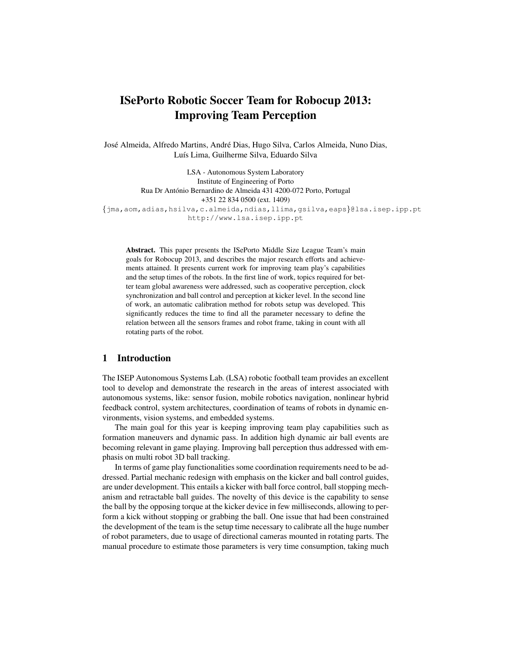# ISePorto Robotic Soccer Team for Robocup 2013: Improving Team Perception

José Almeida, Alfredo Martins, André Dias, Hugo Silva, Carlos Almeida, Nuno Dias, Luís Lima, Guilherme Silva, Eduardo Silva

LSA - Autonomous System Laboratory Institute of Engineering of Porto Rua Dr António Bernardino de Almeida 431 4200-072 Porto, Portugal +351 22 834 0500 (ext. 1409) {jma,aom,adias,hsilva,c.almeida,ndias,llima,gsilva,eaps}@lsa.isep.ipp.pt http://www.lsa.isep.ipp.pt

Abstract. This paper presents the ISePorto Middle Size League Team's main goals for Robocup 2013, and describes the major research efforts and achievements attained. It presents current work for improving team play's capabilities and the setup times of the robots. In the first line of work, topics required for better team global awareness were addressed, such as cooperative perception, clock synchronization and ball control and perception at kicker level. In the second line of work, an automatic calibration method for robots setup was developed. This significantly reduces the time to find all the parameter necessary to define the relation between all the sensors frames and robot frame, taking in count with all rotating parts of the robot.

### 1 Introduction

The ISEP Autonomous Systems Lab. (LSA) robotic football team provides an excellent tool to develop and demonstrate the research in the areas of interest associated with autonomous systems, like: sensor fusion, mobile robotics navigation, nonlinear hybrid feedback control, system architectures, coordination of teams of robots in dynamic environments, vision systems, and embedded systems.

The main goal for this year is keeping improving team play capabilities such as formation maneuvers and dynamic pass. In addition high dynamic air ball events are becoming relevant in game playing. Improving ball perception thus addressed with emphasis on multi robot 3D ball tracking.

In terms of game play functionalities some coordination requirements need to be addressed. Partial mechanic redesign with emphasis on the kicker and ball control guides, are under development. This entails a kicker with ball force control, ball stopping mechanism and retractable ball guides. The novelty of this device is the capability to sense the ball by the opposing torque at the kicker device in few milliseconds, allowing to perform a kick without stopping or grabbing the ball. One issue that had been constrained the development of the team is the setup time necessary to calibrate all the huge number of robot parameters, due to usage of directional cameras mounted in rotating parts. The manual procedure to estimate those parameters is very time consumption, taking much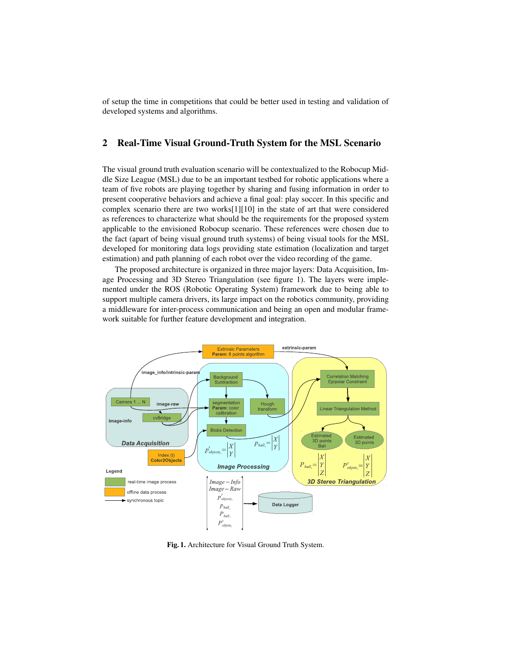of setup the time in competitions that could be better used in testing and validation of developed systems and algorithms.

## 2 Real-Time Visual Ground-Truth System for the MSL Scenario

The visual ground truth evaluation scenario will be contextualized to the Robocup Middle Size League (MSL) due to be an important testbed for robotic applications where a team of five robots are playing together by sharing and fusing information in order to present cooperative behaviors and achieve a final goal: play soccer. In this specific and complex scenario there are two works[1][10] in the state of art that were considered as references to characterize what should be the requirements for the proposed system applicable to the envisioned Robocup scenario. These references were chosen due to the fact (apart of being visual ground truth systems) of being visual tools for the MSL developed for monitoring data logs providing state estimation (localization and target estimation) and path planning of each robot over the video recording of the game.

The proposed architecture is organized in three major layers: Data Acquisition, Image Processing and 3D Stereo Triangulation (see figure 1). The layers were implemented under the ROS (Robotic Operating System) framework due to being able to support multiple camera drivers, its large impact on the robotics community, providing a middleware for inter-process communication and being an open and modular framework suitable for further feature development and integration.



Fig. 1. Architecture for Visual Ground Truth System.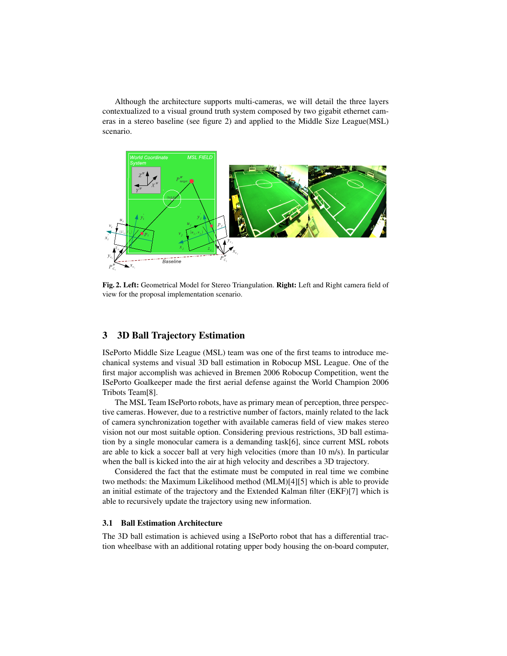Although the architecture supports multi-cameras, we will detail the three layers contextualized to a visual ground truth system composed by two gigabit ethernet cameras in a stereo baseline (see figure 2) and applied to the Middle Size League(MSL) scenario.



Fig. 2. Left: Geometrical Model for Stereo Triangulation. Right: Left and Right camera field of view for the proposal implementation scenario.

## 3 3D Ball Trajectory Estimation

ISePorto Middle Size League (MSL) team was one of the first teams to introduce mechanical systems and visual 3D ball estimation in Robocup MSL League. One of the first major accomplish was achieved in Bremen 2006 Robocup Competition, went the ISePorto Goalkeeper made the first aerial defense against the World Champion 2006 Tribots Team[8].

The MSL Team ISePorto robots, have as primary mean of perception, three perspective cameras. However, due to a restrictive number of factors, mainly related to the lack of camera synchronization together with available cameras field of view makes stereo vision not our most suitable option. Considering previous restrictions, 3D ball estimation by a single monocular camera is a demanding task[6], since current MSL robots are able to kick a soccer ball at very high velocities (more than 10 m/s). In particular when the ball is kicked into the air at high velocity and describes a 3D trajectory.

Considered the fact that the estimate must be computed in real time we combine two methods: the Maximum Likelihood method (MLM)[4][5] which is able to provide an initial estimate of the trajectory and the Extended Kalman filter (EKF)[7] which is able to recursively update the trajectory using new information.

#### 3.1 Ball Estimation Architecture

The 3D ball estimation is achieved using a ISePorto robot that has a differential traction wheelbase with an additional rotating upper body housing the on-board computer,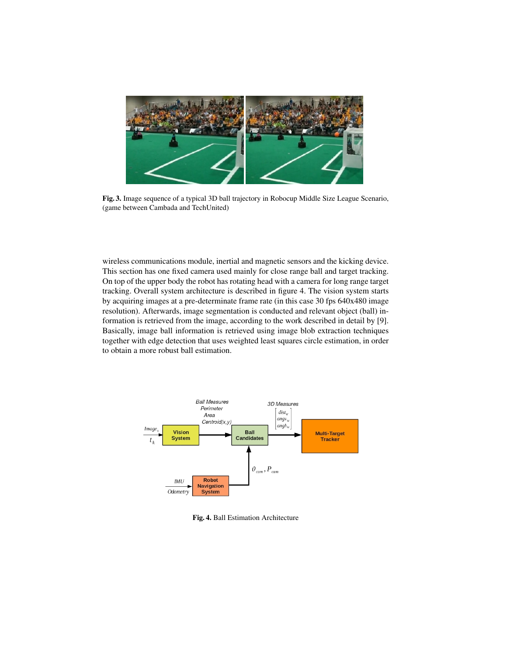

Fig. 3. Image sequence of a typical 3D ball trajectory in Robocup Middle Size League Scenario, (game between Cambada and TechUnited)

wireless communications module, inertial and magnetic sensors and the kicking device. This section has one fixed camera used mainly for close range ball and target tracking. On top of the upper body the robot has rotating head with a camera for long range target tracking. Overall system architecture is described in figure 4. The vision system starts by acquiring images at a pre-determinate frame rate (in this case 30 fps 640x480 image resolution). Afterwards, image segmentation is conducted and relevant object (ball) information is retrieved from the image, according to the work described in detail by [9]. Basically, image ball information is retrieved using image blob extraction techniques together with edge detection that uses weighted least squares circle estimation, in order to obtain a more robust ball estimation.



Fig. 4. Ball Estimation Architecture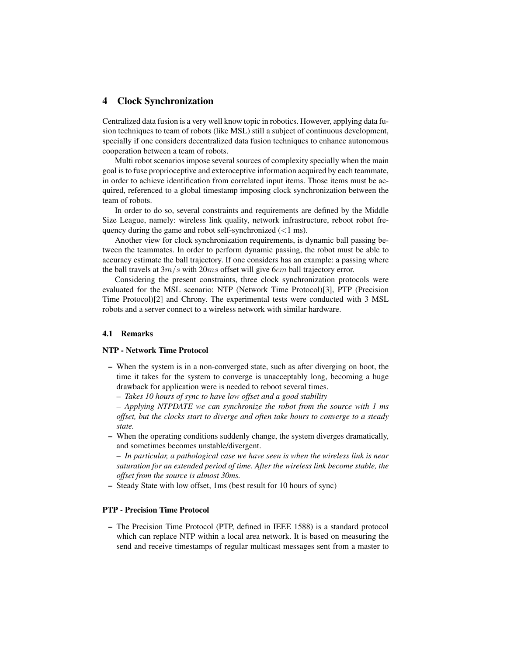#### 4 Clock Synchronization

Centralized data fusion is a very well know topic in robotics. However, applying data fusion techniques to team of robots (like MSL) still a subject of continuous development, specially if one considers decentralized data fusion techniques to enhance autonomous cooperation between a team of robots.

Multi robot scenarios impose several sources of complexity specially when the main goal is to fuse proprioceptive and exteroceptive information acquired by each teammate, in order to achieve identification from correlated input items. Those items must be acquired, referenced to a global timestamp imposing clock synchronization between the team of robots.

In order to do so, several constraints and requirements are defined by the Middle Size League, namely: wireless link quality, network infrastructure, reboot robot frequency during the game and robot self-synchronized  $(< 1 \text{ ms})$ .

Another view for clock synchronization requirements, is dynamic ball passing between the teammates. In order to perform dynamic passing, the robot must be able to accuracy estimate the ball trajectory. If one considers has an example: a passing where the ball travels at  $3m/s$  with  $20ms$  offset will give 6cm ball trajectory error.

Considering the present constraints, three clock synchronization protocols were evaluated for the MSL scenario: NTP (Network Time Protocol)[3], PTP (Precision Time Protocol)[2] and Chrony. The experimental tests were conducted with 3 MSL robots and a server connect to a wireless network with similar hardware.

#### 4.1 Remarks

#### NTP - Network Time Protocol

- When the system is in a non-converged state, such as after diverging on boot, the time it takes for the system to converge is unacceptably long, becoming a huge drawback for application were is needed to reboot several times.
	- *Takes 10 hours of sync to have low offset and a good stability*

– *Applying NTPDATE we can synchronize the robot from the source with 1 ms offset, but the clocks start to diverge and often take hours to converge to a steady state.*

– When the operating conditions suddenly change, the system diverges dramatically, and sometimes becomes unstable/divergent.

– *In particular, a pathological case we have seen is when the wireless link is near saturation for an extended period of time. After the wireless link become stable, the offset from the source is almost 30ms.*

– Steady State with low offset, 1ms (best result for 10 hours of sync)

#### PTP - Precision Time Protocol

– The Precision Time Protocol (PTP, defined in IEEE 1588) is a standard protocol which can replace NTP within a local area network. It is based on measuring the send and receive timestamps of regular multicast messages sent from a master to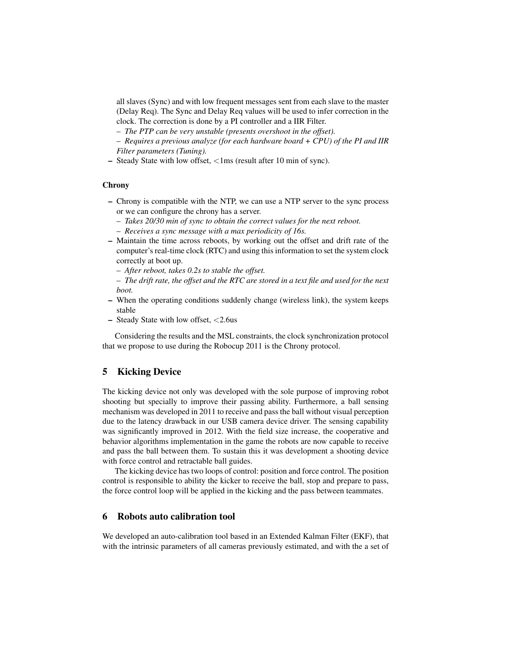all slaves (Sync) and with low frequent messages sent from each slave to the master (Delay Req). The Sync and Delay Req values will be used to infer correction in the clock. The correction is done by a PI controller and a IIR Filter.

– *The PTP can be very unstable (presents overshoot in the offset).*

– *Requires a previous analyze (for each hardware board + CPU) of the PI and IIR Filter parameters (Tuning).*

– Steady State with low offset, <1ms (result after 10 min of sync).

#### **Chrony**

- Chrony is compatible with the NTP, we can use a NTP server to the sync process or we can configure the chrony has a server.
	- *Takes 20/30 min of sync to obtain the correct values for the next reboot.*
	- *Receives a sync message with a max periodicity of 16s.*
- Maintain the time across reboots, by working out the offset and drift rate of the computer's real-time clock (RTC) and using this information to set the system clock correctly at boot up.
	- *After reboot, takes 0.2s to stable the offset.*
	- *The drift rate, the offset and the RTC are stored in a text file and used for the next boot.*
- When the operating conditions suddenly change (wireless link), the system keeps stable
- Steady State with low offset, <2.6us

Considering the results and the MSL constraints, the clock synchronization protocol that we propose to use during the Robocup 2011 is the Chrony protocol.

## 5 Kicking Device

The kicking device not only was developed with the sole purpose of improving robot shooting but specially to improve their passing ability. Furthermore, a ball sensing mechanism was developed in 2011 to receive and pass the ball without visual perception due to the latency drawback in our USB camera device driver. The sensing capability was significantly improved in 2012. With the field size increase, the cooperative and behavior algorithms implementation in the game the robots are now capable to receive and pass the ball between them. To sustain this it was development a shooting device with force control and retractable ball guides.

The kicking device has two loops of control: position and force control. The position control is responsible to ability the kicker to receive the ball, stop and prepare to pass, the force control loop will be applied in the kicking and the pass between teammates.

#### 6 Robots auto calibration tool

We developed an auto-calibration tool based in an Extended Kalman Filter (EKF), that with the intrinsic parameters of all cameras previously estimated, and with the a set of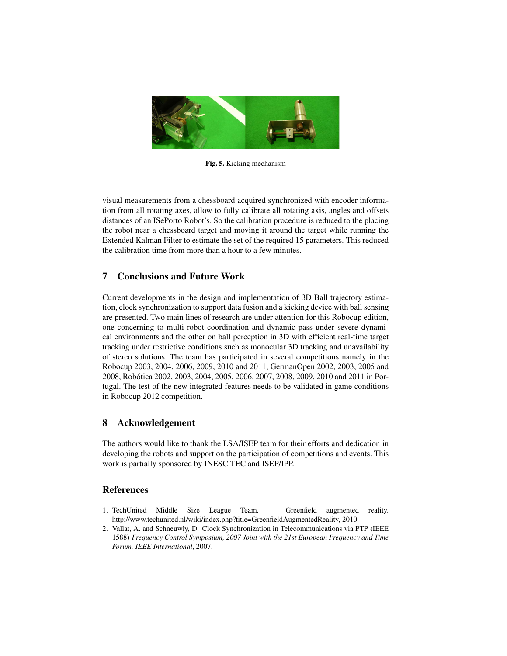

Fig. 5. Kicking mechanism

visual measurements from a chessboard acquired synchronized with encoder information from all rotating axes, allow to fully calibrate all rotating axis, angles and offsets distances of an ISePorto Robot's. So the calibration procedure is reduced to the placing the robot near a chessboard target and moving it around the target while running the Extended Kalman Filter to estimate the set of the required 15 parameters. This reduced the calibration time from more than a hour to a few minutes.

## 7 Conclusions and Future Work

Current developments in the design and implementation of 3D Ball trajectory estimation, clock synchronization to support data fusion and a kicking device with ball sensing are presented. Two main lines of research are under attention for this Robocup edition, one concerning to multi-robot coordination and dynamic pass under severe dynamical environments and the other on ball perception in 3D with efficient real-time target tracking under restrictive conditions such as monocular 3D tracking and unavailability of stereo solutions. The team has participated in several competitions namely in the Robocup 2003, 2004, 2006, 2009, 2010 and 2011, GermanOpen 2002, 2003, 2005 and 2008, Robotica 2002, 2003, 2004, 2005, 2006, 2007, 2008, 2009, 2010 and 2011 in Por- ´ tugal. The test of the new integrated features needs to be validated in game conditions in Robocup 2012 competition.

# 8 Acknowledgement

The authors would like to thank the LSA/ISEP team for their efforts and dedication in developing the robots and support on the participation of competitions and events. This work is partially sponsored by INESC TEC and ISEP/IPP.

## References

- 1. TechUnited Middle Size League Team. Greenfield augmented reality. http://www.techunited.nl/wiki/index.php?title=GreenfieldAugmentedReality, 2010.
- 2. Vallat, A. and Schneuwly, D. Clock Synchronization in Telecommunications via PTP (IEEE 1588) *Frequency Control Symposium, 2007 Joint with the 21st European Frequency and Time Forum. IEEE International*, 2007.